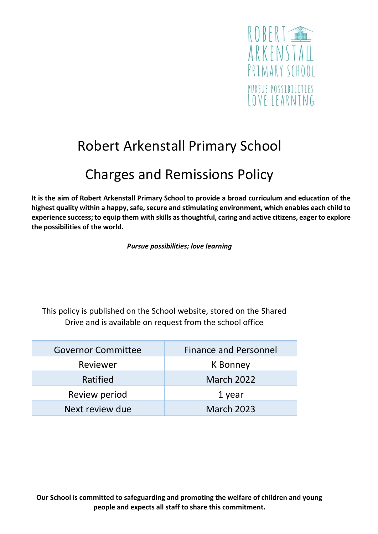

# Robert Arkenstall Primary School

## Charges and Remissions Policy

**It is the aim of Robert Arkenstall Primary School to provide a broad curriculum and education of the highest quality within a happy, safe, secure and stimulating environment, which enables each child to experience success; to equip them with skills as thoughtful, caring and active citizens, eager to explore the possibilities of the world.**

*Pursue possibilities; love learning*

This policy is published on the School website, stored on the Shared Drive and is available on request from the school office

| <b>Governor Committee</b> | <b>Finance and Personnel</b> |
|---------------------------|------------------------------|
| Reviewer                  | K Bonney                     |
| Ratified                  | <b>March 2022</b>            |
| Review period             | 1 year                       |
| Next review due           | <b>March 2023</b>            |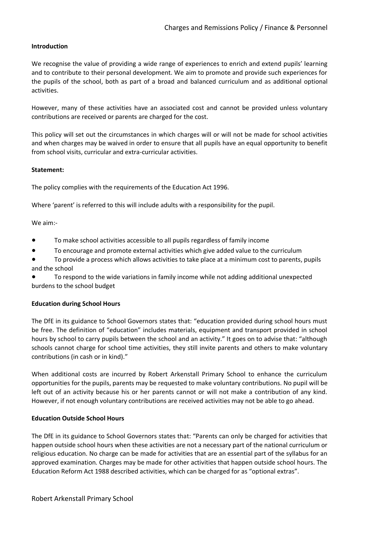#### **Introduction**

We recognise the value of providing a wide range of experiences to enrich and extend pupils' learning and to contribute to their personal development. We aim to promote and provide such experiences for the pupils of the school, both as part of a broad and balanced curriculum and as additional optional activities.

However, many of these activities have an associated cost and cannot be provided unless voluntary contributions are received or parents are charged for the cost.

This policy will set out the circumstances in which charges will or will not be made for school activities and when charges may be waived in order to ensure that all pupils have an equal opportunity to benefit from school visits, curricular and extra-curricular activities.

#### **Statement:**

The policy complies with the requirements of the Education Act 1996.

Where 'parent' is referred to this will include adults with a responsibility for the pupil.

We aim:-

- To make school activities accessible to all pupils regardless of family income
- To encourage and promote external activities which give added value to the curriculum
- To provide a process which allows activities to take place at a minimum cost to parents, pupils and the school

To respond to the wide variations in family income while not adding additional unexpected burdens to the school budget

#### **Education during School Hours**

The DfE in its guidance to School Governors states that: "education provided during school hours must be free. The definition of "education" includes materials, equipment and transport provided in school hours by school to carry pupils between the school and an activity." It goes on to advise that: "although schools cannot charge for school time activities, they still invite parents and others to make voluntary contributions (in cash or in kind)."

When additional costs are incurred by Robert Arkenstall Primary School to enhance the curriculum opportunities for the pupils, parents may be requested to make voluntary contributions. No pupil will be left out of an activity because his or her parents cannot or will not make a contribution of any kind. However, if not enough voluntary contributions are received activities may not be able to go ahead.

#### **Education Outside School Hours**

The DfE in its guidance to School Governors states that: "Parents can only be charged for activities that happen outside school hours when these activities are not a necessary part of the national curriculum or religious education. No charge can be made for activities that are an essential part of the syllabus for an approved examination. Charges may be made for other activities that happen outside school hours. The Education Reform Act 1988 described activities, which can be charged for as "optional extras".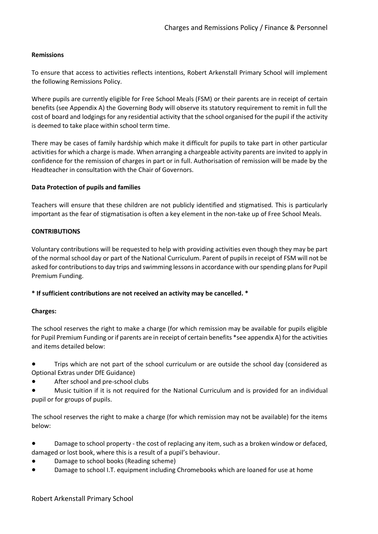#### **Remissions**

To ensure that access to activities reflects intentions, Robert Arkenstall Primary School will implement the following Remissions Policy.

Where pupils are currently eligible for Free School Meals (FSM) or their parents are in receipt of certain benefits (see Appendix A) the Governing Body will observe its statutory requirement to remit in full the cost of board and lodgings for any residential activity that the school organised for the pupil if the activity is deemed to take place within school term time.

There may be cases of family hardship which make it difficult for pupils to take part in other particular activities for which a charge is made. When arranging a chargeable activity parents are invited to apply in confidence for the remission of charges in part or in full. Authorisation of remission will be made by the Headteacher in consultation with the Chair of Governors.

#### **Data Protection of pupils and families**

Teachers will ensure that these children are not publicly identified and stigmatised. This is particularly important as the fear of stigmatisation is often a key element in the non-take up of Free School Meals.

#### **CONTRIBUTIONS**

Voluntary contributions will be requested to help with providing activities even though they may be part of the normal school day or part of the National Curriculum. Parent of pupils in receipt of FSM will not be asked for contributions to day trips and swimming lessons in accordance with our spending plans for Pupil Premium Funding.

#### **\* If sufficient contributions are not received an activity may be cancelled. \***

#### **Charges:**

The school reserves the right to make a charge (for which remission may be available for pupils eligible for Pupil Premium Funding or if parents are in receipt of certain benefits \*see appendix A) for the activities and items detailed below:

Trips which are not part of the school curriculum or are outside the school day (considered as Optional Extras under DfE Guidance)

After school and pre-school clubs

Music tuition if it is not required for the National Curriculum and is provided for an individual pupil or for groups of pupils.

The school reserves the right to make a charge (for which remission may not be available) for the items below:

● Damage to school property - the cost of replacing any item, such as a broken window or defaced, damaged or lost book, where this is a result of a pupil's behaviour.

- Damage to school books (Reading scheme)
- Damage to school I.T. equipment including Chromebooks which are loaned for use at home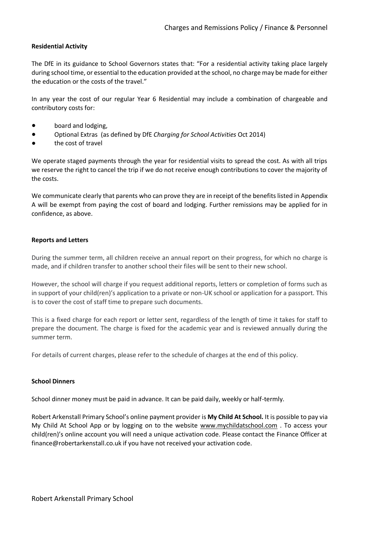#### **Residential Activity**

The DfE in its guidance to School Governors states that: "For a residential activity taking place largely during school time, or essential to the education provided at the school, no charge may be made for either the education or the costs of the travel."

In any year the cost of our regular Year 6 Residential may include a combination of chargeable and contributory costs for:

- board and lodging,
- Optional Extras (as defined by DfE *Charging for School Activities* Oct 2014)
- the cost of travel

We operate staged payments through the year for residential visits to spread the cost. As with all trips we reserve the right to cancel the trip if we do not receive enough contributions to cover the majority of the costs.

We communicate clearly that parents who can prove they are in receipt of the benefits listed in Appendix A will be exempt from paying the cost of board and lodging. Further remissions may be applied for in confidence, as above.

#### **Reports and Letters**

During the summer term, all children receive an annual report on their progress, for which no charge is made, and if children transfer to another school their files will be sent to their new school.

However, the school will charge if you request additional reports, letters or completion of forms such as in support of your child(ren)'s application to a private or non-UK school or application for a passport. This is to cover the cost of staff time to prepare such documents.

This is a fixed charge for each report or letter sent, regardless of the length of time it takes for staff to prepare the document. The charge is fixed for the academic year and is reviewed annually during the summer term.

For details of current charges, please refer to the schedule of charges at the end of this policy.

#### **School Dinners**

School dinner money must be paid in advance. It can be paid daily, weekly or half-termly.

Robert Arkenstall Primary School's online payment provider is **My Child At School.** It is possible to pay via My Child At School App or by logging on to the website [www.mychildatschool.com](http://www.mychildatschool.com/) . To access your child(ren)'s online account you will need a unique activation code. Please contact the Finance Officer at finance@robertarkenstall.co.uk if you have not received your activation code.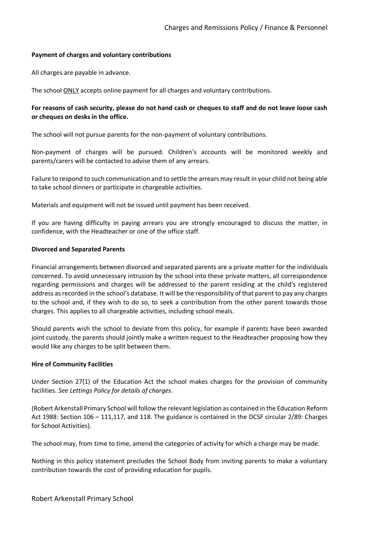#### **Payment of charges and voluntary contributions**

All charges are payable in advance.

The school ONLY accepts online payment for all charges and voluntary contributions.

#### **For reasons of cash security, please do not hand cash or cheques to staff and do not leave loose cash or cheques on desks in the office.**

The school will not pursue parents for the non-payment of voluntary contributions.

Non-payment of charges will be pursued. Children's accounts will be monitored weekly and parents/carers will be contacted to advise them of any arrears.

Failure to respond to such communication and to settle the arrears may result in your child not being able to take school dinners or participate in chargeable activities.

Materials and equipment will not be issued until payment has been received.

If you are having difficulty in paying arrears you are strongly encouraged to discuss the matter, in confidence, with the Headteacher or one of the office staff.

#### **Divorced and Separated Parents**

Financial arrangements between divorced and separated parents are a private matter for the individuals concerned. To avoid unnecessary intrusion by the school into these private matters, all correspondence regarding permissions and charges will be addressed to the parent residing at the child's registered address as recorded in the school's database. It will be the responsibility of that parent to pay any charges to the school and, if they wish to do so, to seek a contribution from the other parent towards those charges. This applies to all chargeable activities, including school meals.

Should parents wish the school to deviate from this policy, for example if parents have been awarded joint custody, the parents should jointly make a written request to the Headteacher proposing how they would like any charges to be split between them.

#### **Hire of Community Facilities**

Under Section 27(1) of the Education Act the school makes charges for the provision of community facilities. *See Lettings Policy for details of charges*.

(Robert Arkenstall Primary School will follow the relevant legislation as contained in the Education Reform Act 1988: Section 106 – 111,117, and 118. The guidance is contained in the DCSF circular 2/89: Charges for School Activities).

The school may, from time to time, amend the categories of activity for which a charge may be made.

Nothing in this policy statement precludes the School Body from inviting parents to make a voluntary contribution towards the cost of providing education for pupils.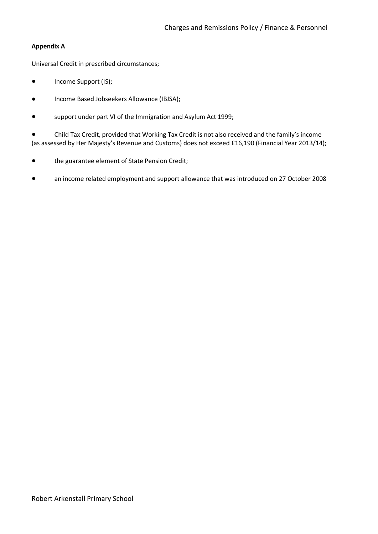#### **Appendix A**

Universal Credit in prescribed circumstances;

- Income Support (IS);
- Income Based Jobseekers Allowance (IBJSA);
- support under part VI of the Immigration and Asylum Act 1999;

Child Tax Credit, provided that Working Tax Credit is not also received and the family's income (as assessed by Her Majesty's Revenue and Customs) does not exceed £16,190 (Financial Year 2013/14);

- the guarantee element of State Pension Credit;
- an income related employment and support allowance that was introduced on 27 October 2008